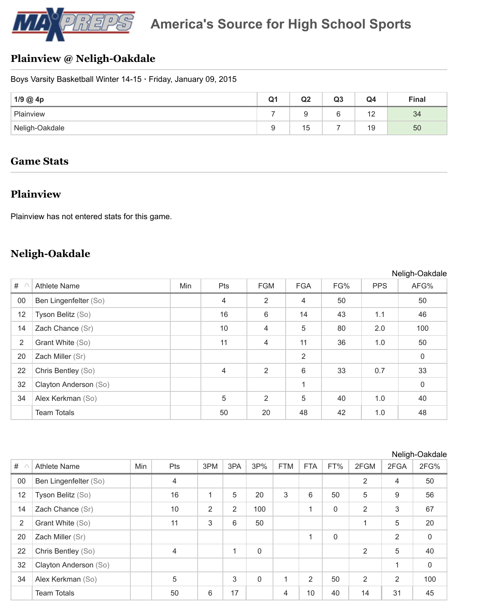| 1/9 @ 4p       | Q <sub>1</sub> | Q <sub>2</sub> | Q <sub>3</sub> | Q4 |  |
|----------------|----------------|----------------|----------------|----|--|
| Plainview      |                |                |                | -  |  |
| Neligh-Oakdale |                | 15             |                | 19 |  |

### **Game Stats**

## **[Plainvi](http://www.maxpreps.com/high-schools/plainview-pirates-(plainview,ne)/basketball/home.htm)ew**

[Plainview has n](http://www.maxpreps.com/high-schools/neligh-oakdale-warriors-(neligh,ne)/basketball/home.htm)ot entered stats for this game.

# **Neligh-Oakdale**

|                 |                       |     |                |                |                |     | Nelig      |
|-----------------|-----------------------|-----|----------------|----------------|----------------|-----|------------|
| $#$ $^{\wedge}$ | <b>Athlete Name</b>   | Min | <b>Pts</b>     | <b>FGM</b>     | <b>FGA</b>     | FG% | <b>PPS</b> |
| $00\,$          | Ben Lingenfelter (So) |     | $\overline{4}$ | $\overline{2}$ | $\overline{4}$ | 50  |            |
| 12              | Tyson Belitz (So)     |     | 16             | 6              | 14             | 43  | 1.1        |
| 14              | Zach Chance (Sr)      |     | 10             | $\overline{4}$ | 5              | 80  | 2.0        |
| 2               | Grant White (So)      |     | 11             | 4              | 11             | 36  | 1.0        |
| 20              | Zach Miller (Sr)      |     |                |                | 2              |     |            |
| 22              | Chris Bentley (So)    |     | $\overline{4}$ | $\overline{2}$ | 6              | 33  | 0.7        |
| 32              | Clayton Anderson (So) |     |                |                | 1              |     |            |
| 34              | Alex Kerkman (So)     |     | 5              | $\overline{2}$ | 5              | 40  | 1.0        |
|                 | <b>Team Totals</b>    |     | 50             | 20             | 48             | 42  | 1.0        |

|    |                       |     |                |                |                |                |            |                |             |                | .              |
|----|-----------------------|-----|----------------|----------------|----------------|----------------|------------|----------------|-------------|----------------|----------------|
| #  | <b>Athlete Name</b>   | Min | <b>Pts</b>     | 3PM            | 3PA            | 3P%            | <b>FTM</b> | <b>FTA</b>     | FT%         | 2FGM           | 2FGA           |
| 00 | Ben Lingenfelter (So) |     | $\overline{4}$ |                |                |                |            |                |             | $\overline{2}$ | 4              |
| 12 | Tyson Belitz (So)     |     | 16             | 1              | 5              | 20             | 3          | 6              | 50          | 5              | 9              |
| 14 | Zach Chance (Sr)      |     | 10             | $\overline{2}$ | $\overline{2}$ | 100            |            | 1              | $\mathbf 0$ | $\overline{2}$ | 3              |
| 2  | Grant White (So)      |     | 11             | 3              | 6              | 50             |            |                |             | 1              | 5              |
| 20 | Zach Miller (Sr)      |     |                |                |                |                |            | 1              | $\mathbf 0$ |                | $\overline{2}$ |
| 22 | Chris Bentley (So)    |     | $\overline{4}$ |                | 1              | $\overline{0}$ |            |                |             | $\overline{2}$ | 5              |
| 32 | Clayton Anderson (So) |     |                |                |                |                |            |                |             |                | 1              |
| 34 | Alex Kerkman (So)     |     | 5              |                | 3              | $\overline{0}$ | 1          | $\overline{2}$ | 50          | 2              | 2              |
|    | <b>Team Totals</b>    |     | 50             | 6              | 17             |                | 4          | 10             | 40          | 14             | 31             |

Nelig